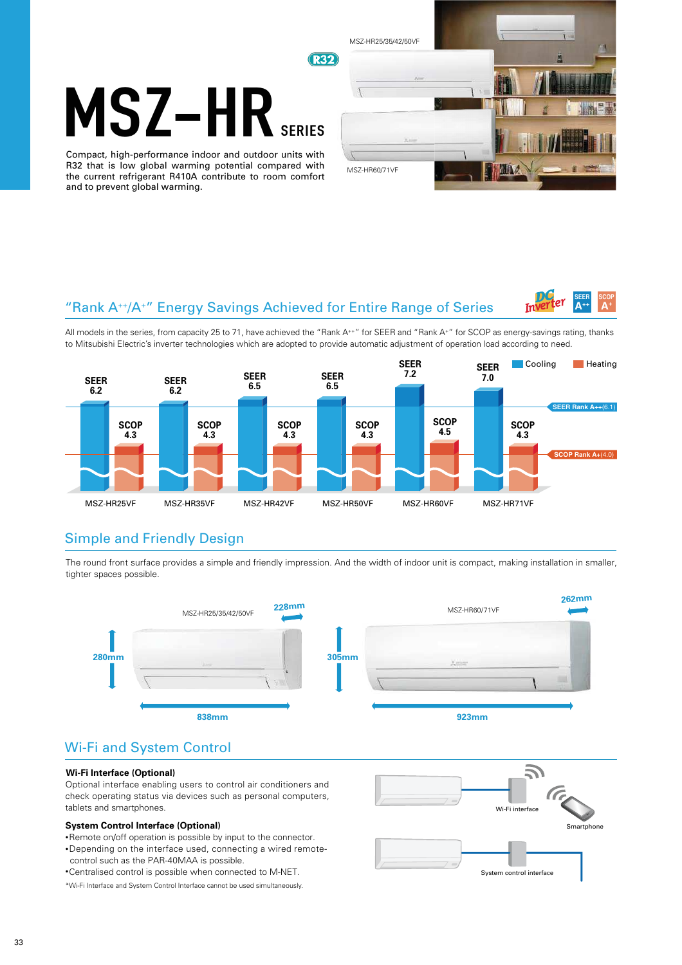# MSZ-HI

Compact, high-performance indoor and outdoor units with R32 that is low global warming potential compared with the current refrigerant R410A contribute to room comfort and to prevent global warming.



## "Rank A++/A<sup>+</sup>" Energy Savings Achieved for Entire Range of Series



All models in the series, from capacity 25 to 71, have achieved the "Rank A\*+" for SEER and "Rank A\*" for SCOP as energy-savings rating, thanks to Mitsubishi Electric's inverter technologies which are adopted to provide automatic adjustment of operation load according to need.



### Simple and Friendly Design

The round front surface provides a simple and friendly impression. And the width of indoor unit is compact, making installation in smaller, tighter spaces possible.



# Wi-Fi and System Control

### **Wi-Fi Interface (Optional)**

Optional interface enabling users to control air conditioners and check operating status via devices such as personal computers, tablets and smartphones.

### **System Control Interface (Optional)**

- •Remote on/off operation is possible by input to the connector.
- •Depending on the interface used, connecting a wired remotecontrol such as the PAR-40MAA is possible.
- •Centralised control is possible when connected to M-NET.

\*Wi-Fi Interface and System Control Interface cannot be used simultaneously.

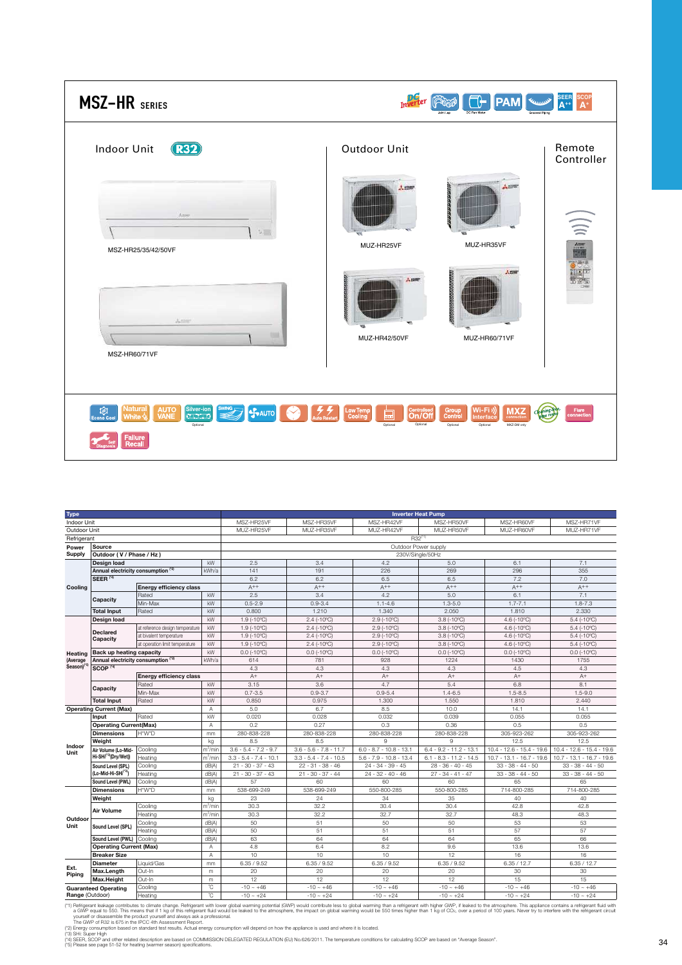| <b>MSZ-HR</b> SERIES                                                                                                                                                                         |                                                                                       | <b>PAM</b><br>Lame                                                                                                     | <b>SEER</b><br>SCOP<br>A <sup>+</sup><br>$\Lambda$ <sup>++</sup> |
|----------------------------------------------------------------------------------------------------------------------------------------------------------------------------------------------|---------------------------------------------------------------------------------------|------------------------------------------------------------------------------------------------------------------------|------------------------------------------------------------------|
| <b>R32</b><br><b>Indoor Unit</b>                                                                                                                                                             | Outdoor Unit                                                                          |                                                                                                                        | Remote<br>Controller                                             |
| $\lambda$ and<br>製品                                                                                                                                                                          | 人群群                                                                                   | 1. 1276                                                                                                                |                                                                  |
| MSZ-HR25/35/42/50VF<br>Amer                                                                                                                                                                  | MUZ-HR25VF                                                                            | MUZ-HR35VF<br>人群                                                                                                       | ian<br>Ikip                                                      |
| MSZ-HR60/71VF                                                                                                                                                                                | <b>MUZ-HR42/50VF</b>                                                                  | MUZ-HR60/71VF                                                                                                          |                                                                  |
| <b>SWING</b><br><b>Natural</b><br><b>AUTO</b><br>VANE<br>Silver-ion<br>囱<br><b>S</b> AUTO<br>muun<br>White $\stackrel{1}{\scriptstyle\diagup}$<br>Econo Coo<br>Optional<br>Failure<br>Recall | Z<br>Centralised<br><b>On/Off</b><br>Low Temp<br>Cooling<br>ҏ<br>Optional<br>Optional | (Wi-Fi<br>Group<br>Control<br><b>MXZ</b><br>Cleaning<br>Interface<br>connection<br>Optional<br>MXZ-DM only<br>Optional | Flare<br>connection                                              |

| Indoor Unit<br>MSZ-HR25VF<br>MSZ-HR35VF<br>MSZ-HR42VF<br>MSZ-HR50VF<br>MSZ-HR60VF<br>MSZ-HR71VF<br>Outdoor Unit<br>MUZ-HR25VF<br>MUZ-HR35VF<br>MUZ-HR42VF<br>MUZ-HR50VF<br>MUZ-HR60VF<br>MUZ-HR71VF<br>R32 <sup>(1)</sup><br>Refrigerant<br>Outdoor Power supply<br>Source<br>Power<br><b>Supply</b><br>Outdoor (V / Phase / Hz)<br>230V/Single/50Hz<br>kW<br>2.5<br>3.4<br>4.2<br>6.1<br>7.1<br>Design load<br>5.0<br>Annual electricity consumption (2)<br>141<br>226<br>296<br>kWh/a<br>191<br>269<br>355<br>SEER <sup>(4)</sup><br>6.2<br>6.2<br>7.2<br>7.0<br>6.5<br>6.5<br>$A^{++}$<br>$A^{++}$<br>$A^{++}$<br>$A^{++}$<br>$A^{++}$<br>$A^{++}$<br><b>Energy efficiency class</b><br>Cooling<br>2.5<br>4.2<br>6.1<br>kW<br>3.4<br>5.0<br>7.1<br>Rated |
|-------------------------------------------------------------------------------------------------------------------------------------------------------------------------------------------------------------------------------------------------------------------------------------------------------------------------------------------------------------------------------------------------------------------------------------------------------------------------------------------------------------------------------------------------------------------------------------------------------------------------------------------------------------------------------------------------------------------------------------------------------------|
|                                                                                                                                                                                                                                                                                                                                                                                                                                                                                                                                                                                                                                                                                                                                                             |
|                                                                                                                                                                                                                                                                                                                                                                                                                                                                                                                                                                                                                                                                                                                                                             |
|                                                                                                                                                                                                                                                                                                                                                                                                                                                                                                                                                                                                                                                                                                                                                             |
|                                                                                                                                                                                                                                                                                                                                                                                                                                                                                                                                                                                                                                                                                                                                                             |
|                                                                                                                                                                                                                                                                                                                                                                                                                                                                                                                                                                                                                                                                                                                                                             |
|                                                                                                                                                                                                                                                                                                                                                                                                                                                                                                                                                                                                                                                                                                                                                             |
|                                                                                                                                                                                                                                                                                                                                                                                                                                                                                                                                                                                                                                                                                                                                                             |
|                                                                                                                                                                                                                                                                                                                                                                                                                                                                                                                                                                                                                                                                                                                                                             |
|                                                                                                                                                                                                                                                                                                                                                                                                                                                                                                                                                                                                                                                                                                                                                             |
|                                                                                                                                                                                                                                                                                                                                                                                                                                                                                                                                                                                                                                                                                                                                                             |
| Capacity<br>$0.5 - 2.9$<br>$1.3 - 5.0$<br>$1.7 - 7.1$<br>Min-Max<br>kW<br>$0.9 - 3.4$<br>$1.1 - 4.6$<br>$1.8 - 7.3$                                                                                                                                                                                                                                                                                                                                                                                                                                                                                                                                                                                                                                         |
| 1.340<br>2.050<br>1.810<br>2.330<br>kW<br>0.800<br>1.210<br><b>Total Input</b><br>Rated                                                                                                                                                                                                                                                                                                                                                                                                                                                                                                                                                                                                                                                                     |
| $2.9$ (-10°C)<br>kW<br>1.9 (-10°C)<br>$2.4$ (-10°C)<br>$3.8(-10^{\circ}C)$<br>4.6 (-10°C)<br>$5.4$ (-10 $^{\circ}$ C)<br>Design load                                                                                                                                                                                                                                                                                                                                                                                                                                                                                                                                                                                                                        |
| kW<br>1.9 (-10°C)<br>$2.4$ (-10°C)<br>$2.9$ (-10 $^{\circ}$ C)<br>at reference design temperature<br>$3.8$ ( $-10^{\circ}$ C)<br>4.6 (-10°C)<br>$5.4$ (-10 $^{\circ}$ C)                                                                                                                                                                                                                                                                                                                                                                                                                                                                                                                                                                                    |
| <b>Declared</b><br>kW<br>1.9 (-10°C)<br>$2.9$ (-10 $^{\circ}$ C)<br>at bivalent temperature<br>$2.4$ (-10°C)<br>$3.8$ ( $-10^{\circ}$ C)<br>4.6 (-10°C)<br>$5.4$ (-10 $^{\circ}$ C)                                                                                                                                                                                                                                                                                                                                                                                                                                                                                                                                                                         |
| Capacity<br>kW<br>at operation limit temperature<br>1.9 (-10°C)<br>$2.4$ (-10°C)<br>2.9 (-10°C)<br>$3.8$ ( $-10^{\circ}$ C)<br>4.6 (-10°C)<br>$5.4$ (-10 $^{\circ}$ C)                                                                                                                                                                                                                                                                                                                                                                                                                                                                                                                                                                                      |
| kW<br>$0.0$ (-10 $^{\circ}$ C)<br>$0.0$ (-10°C)<br>$0.0$ (-10°C)<br>$0.0$ (-10 $^{\circ}$ C)<br>Back up heating capacity<br>$0.0$ (-10°C)<br>$0.0$ (-10°C)<br>Heating                                                                                                                                                                                                                                                                                                                                                                                                                                                                                                                                                                                       |
| Annual electricity consumption (2)<br>kWh/a<br>614<br>781<br>928<br>1224<br>1430<br>1755<br>(Average                                                                                                                                                                                                                                                                                                                                                                                                                                                                                                                                                                                                                                                        |
| Season) <sup>re</sup><br>SCOP <sup>(4)</sup><br>4.3<br>4.3<br>4.3<br>4.3<br>4.5<br>4.3                                                                                                                                                                                                                                                                                                                                                                                                                                                                                                                                                                                                                                                                      |
| $A^+$<br>$A^+$<br>$A^+$<br>$A^+$<br>$A^+$<br><b>Energy efficiency class</b><br>$A^+$                                                                                                                                                                                                                                                                                                                                                                                                                                                                                                                                                                                                                                                                        |
| kW<br>3.15<br>3.6<br>4.7<br>5.4<br>6.8<br>Rated<br>8.1                                                                                                                                                                                                                                                                                                                                                                                                                                                                                                                                                                                                                                                                                                      |
| Capacity<br>Min-Max<br>kW<br>$0.7 - 3.5$<br>$0.9 - 3.7$<br>$0.9 - 5.4$<br>$1.4 - 6.5$<br>$1.5 - 8.5$<br>$1.5 - 9.0$                                                                                                                                                                                                                                                                                                                                                                                                                                                                                                                                                                                                                                         |
| kW<br>0.850<br>1.810<br>2.440<br><b>Total Input</b><br>Rated<br>0.975<br>1.300<br>1.550                                                                                                                                                                                                                                                                                                                                                                                                                                                                                                                                                                                                                                                                     |
| A<br>5.0<br>6.7<br>8.5<br>10.0<br>14.1<br>14.1<br><b>Operating Current (Max)</b>                                                                                                                                                                                                                                                                                                                                                                                                                                                                                                                                                                                                                                                                            |
| Rated<br>kW<br>0.020<br>0.032<br>0.055<br>Input<br>0.028<br>0.039<br>0.055                                                                                                                                                                                                                                                                                                                                                                                                                                                                                                                                                                                                                                                                                  |
| <b>Operating Current(Max)</b><br>0.2<br>0.27<br>0.3<br>0.36<br>0.5<br>0.5<br>A                                                                                                                                                                                                                                                                                                                                                                                                                                                                                                                                                                                                                                                                              |
| H*W*D<br>280-838-228<br>280-838-228<br>305-923-262<br><b>Dimensions</b><br>280-838-228<br>280-838-228<br>305-923-262<br>mm                                                                                                                                                                                                                                                                                                                                                                                                                                                                                                                                                                                                                                  |
| 8.5<br>8.5<br>12.5<br>12.5<br>Weight<br>kg<br>9<br>9                                                                                                                                                                                                                                                                                                                                                                                                                                                                                                                                                                                                                                                                                                        |
| Indoor<br>$m^3/m$ ir<br>$3.6 - 5.4 - 7.2 - 9.7$<br>$3.6 - 5.6 - 7.8 - 11.7$<br>$10.4 - 12.6 - 15.4 - 19.6$<br>$10.4 - 12.6 - 15.4 - 19.6$<br>Cooling<br>$6.0 - 8.7 - 10.8 - 13.1$<br>$6.4 - 9.2 - 11.2 - 13.1$<br>Air Volume (Lo-Mid-                                                                                                                                                                                                                                                                                                                                                                                                                                                                                                                       |
| Unit<br>Hi-SHi <sup>(*3)</sup> (Dry/Wet))<br>$3.3 - 5.4 - 7.4 - 10.5$<br>$5.6 - 7.9 - 10.8 - 13.4$<br>$10.7 - 13.1 - 16.7 - 19.6$<br>$10.7 - 13.1 - 16.7 - 19.6$<br>Heating<br>$m^3/m$ ir<br>$3.3 - 5.4 - 7.4 - 10.1$<br>$6.1 - 8.3 - 11.2 - 14.5$                                                                                                                                                                                                                                                                                                                                                                                                                                                                                                          |
| dB(A)<br>$21 - 30 - 37 - 43$<br>$22 - 31 - 38 - 46$<br>$24 - 34 - 39 - 45$<br>$28 - 36 - 40 - 45$<br>$33 - 38 - 44 - 50$<br>$33 - 38 - 44 - 50$<br>Cooling<br>Sound Level (SPL)                                                                                                                                                                                                                                                                                                                                                                                                                                                                                                                                                                             |
| (Lo-Mid-Hi-SHi <sup>(*3)</sup> )<br>dB(A)<br>$21 - 30 - 37 - 43$<br>$21 - 30 - 37 - 44$<br>$24 - 32 - 40 - 46$<br>$27 - 34 - 41 - 47$<br>$33 - 38 - 44 - 50$<br>Heating<br>$33 - 38 - 44 - 50$                                                                                                                                                                                                                                                                                                                                                                                                                                                                                                                                                              |
| 57<br>65<br>Sound Level (PWL)<br>Cooling<br>dB(A)<br>60<br>60<br>60<br>65                                                                                                                                                                                                                                                                                                                                                                                                                                                                                                                                                                                                                                                                                   |
| H*W*D<br>538-699-249<br>550-800-285<br>550-800-285<br><b>Dimensions</b><br>538-699-249<br>714-800-285<br>714-800-285<br>mm                                                                                                                                                                                                                                                                                                                                                                                                                                                                                                                                                                                                                                  |
| 23<br>40<br>40<br>Weight<br>24<br>34<br>35<br>kg                                                                                                                                                                                                                                                                                                                                                                                                                                                                                                                                                                                                                                                                                                            |
| $\overline{m}^3$ /min<br>30.3<br>32.2<br>30.4<br>30.4<br>42.8<br>42.8<br>Cooling                                                                                                                                                                                                                                                                                                                                                                                                                                                                                                                                                                                                                                                                            |
| <b>Air Volume</b><br>Heating<br>$m^3/m$ in<br>30.3<br>32.7<br>32.2<br>32.7<br>48.3<br>48.3                                                                                                                                                                                                                                                                                                                                                                                                                                                                                                                                                                                                                                                                  |
| Outdoor<br>50<br>50<br>53<br>dB(A)<br>51<br>50<br>53<br>Cooling                                                                                                                                                                                                                                                                                                                                                                                                                                                                                                                                                                                                                                                                                             |
| Unit<br>Sound Level (SPL)<br>50<br>51<br>51<br>57<br>57<br>Heating<br>dB(A)<br>51                                                                                                                                                                                                                                                                                                                                                                                                                                                                                                                                                                                                                                                                           |
| 63<br>Sound Level (PWL) Cooling<br>dB(A)<br>64<br>64<br>64<br>65<br>66                                                                                                                                                                                                                                                                                                                                                                                                                                                                                                                                                                                                                                                                                      |
| 4.8<br>6.4<br>8.2<br>9.6<br>13.6<br><b>Operating Current (Max)</b><br>A<br>13.6                                                                                                                                                                                                                                                                                                                                                                                                                                                                                                                                                                                                                                                                             |
| 10<br>10<br>12<br>16<br><b>Breaker Size</b><br>A<br>10<br>16                                                                                                                                                                                                                                                                                                                                                                                                                                                                                                                                                                                                                                                                                                |
| <b>Diameter</b><br>Liquid/Gas<br>6.35 / 9.52<br>6.35 / 9.52<br>6.35 / 9.52<br>6.35 / 9.52<br>6.35 / 12.7<br>6.35 / 12.7<br>mm                                                                                                                                                                                                                                                                                                                                                                                                                                                                                                                                                                                                                               |
| Ext.<br>Out-In<br>20<br>20<br>20<br>20<br>30<br>30<br>Max.Length<br>m.<br>Pipina                                                                                                                                                                                                                                                                                                                                                                                                                                                                                                                                                                                                                                                                            |
| Out-In<br>12<br>12<br>12<br>12<br>15<br>15<br>Max.Height<br>m                                                                                                                                                                                                                                                                                                                                                                                                                                                                                                                                                                                                                                                                                               |
| °C<br>$-10 - +46$<br>$-10 - +46$<br>$-10 - +46$<br>$-10 - +46$<br>Cooling<br>$-10 - +46$<br>$-10 - +46$<br><b>Guaranteed Operating</b>                                                                                                                                                                                                                                                                                                                                                                                                                                                                                                                                                                                                                      |
| °C<br>Range (Outdoor)<br>$-10 - +24$<br>$-10 - +24$<br>$-10 - +24$<br>Heating<br>$-10 - +24$<br>$-10 - +24$<br>$-10 - +24$                                                                                                                                                                                                                                                                                                                                                                                                                                                                                                                                                                                                                                  |

**Range** (Outdoor) Heating ˚C -10 ~ +24 -10 ~ +24 -10 ~ +24 -10 ~ +24 -10 ~ +24 -10 ~ +24 (\*1) Refrigerant leakage contributes to climate change. Refrigerant with lower global warming potential (GWP) would contribute less to global warming than a refrigerant with higher GWP, if leaked to the atmosphere. This appliance contains a refrigerant fluid with a GWP equal to 550. This means that if 1 kg of this refrigerant fluid would be leaked to the atmosphere, the impact on global warming would be 550 times higher than 1 kg of CO2, over a period of 100 years. Never try to interfere with the refrigerant circuit yourself or disassemble the product yourself and always ask a professional. The GWP of R32 is 675 in the IPCC 4th Assessment Report. (\*2) Energy consumption based on standard test results. Actual energy consumption will depend on how the appliance is used and where it is located. (\*3) SHi: Super High (\*4) SEER, SCOP and other related description are based on COMMISSION DELEGATED REGULATION (EU) No.626/2011. The temperature conditions for calculating SCOP are based on "Average Season". (\*5) Please see page 51-52 for heating (warmer season) specifications.